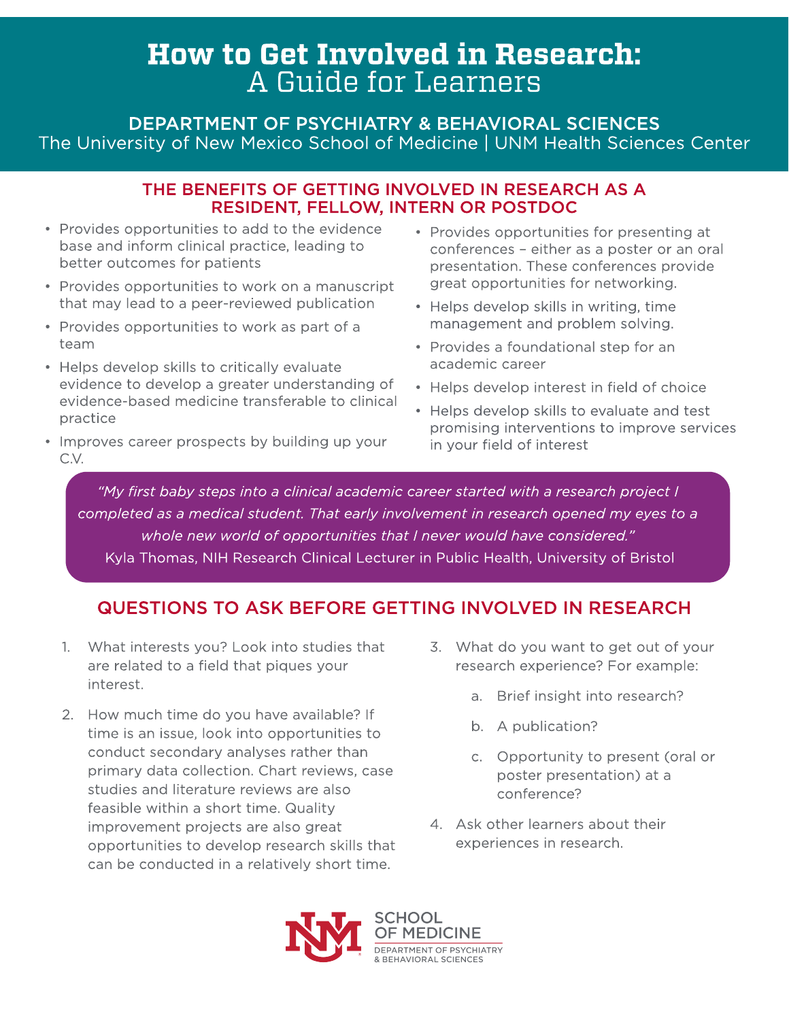# How to Get Involved in Research: A Guide for Learners

DEPARTMENT OF PSYCHIATRY & BEHAVIORAL SCIENCES The University of New Mexico School of Medicine | UNM Health Sciences Center

### THE BENEFITS OF GETTING INVOLVED IN RESEARCH AS A RESIDENT, FELLOW, INTERN OR POSTDOC

- Provides opportunities to add to the evidence base and inform clinical practice, leading to better outcomes for patients
- Provides opportunities to work on a manuscript that may lead to a peer-reviewed publication
- Provides opportunities to work as part of a team
- Helps develop skills to critically evaluate evidence to develop a greater understanding of evidence-based medicine transferable to clinical practice
- Improves career prospects by building up your C.V.
- Provides opportunities for presenting at conferences - either as a poster or an oral presentation. These conferences provide great opportunities for networking.
- Helps develop skills in writing, time management and problem solving.
- Provides a foundational step for an academic career
- Helps develop interest in field of choice
- Helps develop skills to evaluate and test promising interventions to improve services in your field of interest

**?My first baby steps into a clinical academic career started with a research project I completed as a medical student. That early involvement in research opened my eyes to a whole new world of opportunities that I never would have considered.?** Kyla Thomas, NIH Research Clinical Lecturer in Public Health, University of Bristol

# QUESTIONS TO ASK BEFORE GETTING INVOLVED IN RESEARCH

- 1. What interests you? Look into studies that are related to a field that piques your interest.
- 2. How much time do you have available? If time is an issue, look into opportunities to conduct secondary analyses rather than primary data collection. Chart reviews, case studies and literature reviews are also feasible within a short time. Quality improvement projects are also great opportunities to develop research skills that can be conducted in a relatively short time.
- 3. What do you want to get out of your research experience? For example:
	- a. Brief insight into research?
	- b. A publication?
	- c. Opportunity to present (oral or poster presentation) at a conference?
- 4. Ask other learners about their experiences in research.